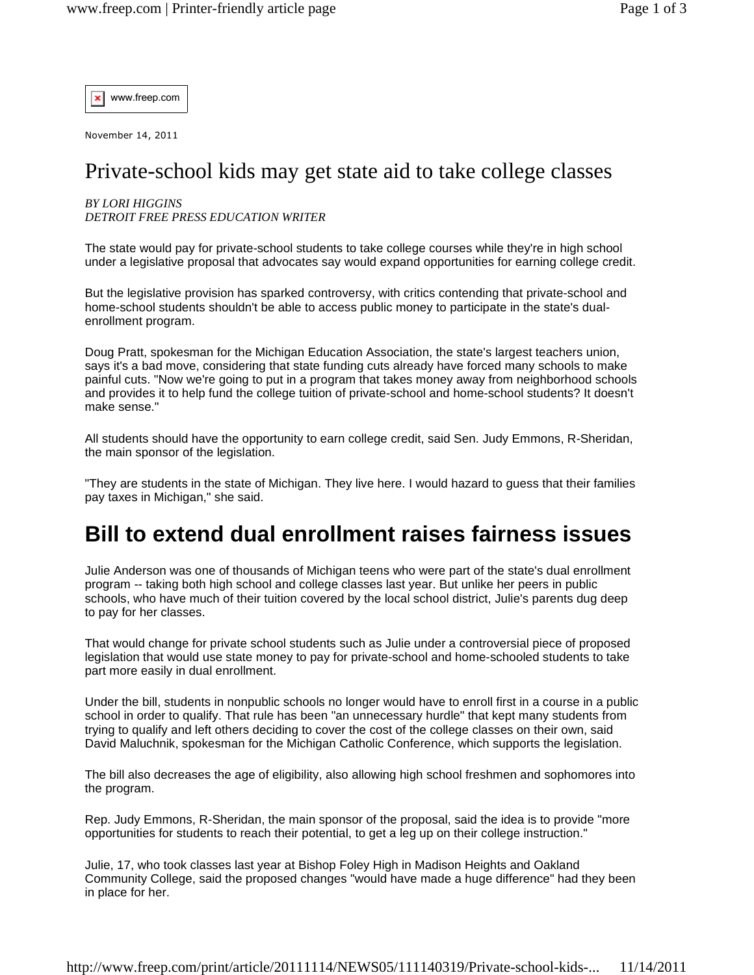www.freep.com  $\boldsymbol{\mathsf{x}}$ 

November 14, 2011

## Private-school kids may get state aid to take college classes

## *BY LORI HIGGINS DETROIT FREE PRESS EDUCATION WRITER*

The state would pay for private-school students to take college courses while they're in high school under a legislative proposal that advocates say would expand opportunities for earning college credit.

But the legislative provision has sparked controversy, with critics contending that private-school and home-school students shouldn't be able to access public money to participate in the state's dualenrollment program.

Doug Pratt, spokesman for the Michigan Education Association, the state's largest teachers union, says it's a bad move, considering that state funding cuts already have forced many schools to make painful cuts. "Now we're going to put in a program that takes money away from neighborhood schools and provides it to help fund the college tuition of private-school and home-school students? It doesn't make sense."

All students should have the opportunity to earn college credit, said Sen. Judy Emmons, R-Sheridan, the main sponsor of the legislation.

"They are students in the state of Michigan. They live here. I would hazard to guess that their families pay taxes in Michigan," she said.

## **Bill to extend dual enrollment raises fairness issues**

Julie Anderson was one of thousands of Michigan teens who were part of the state's dual enrollment program -- taking both high school and college classes last year. But unlike her peers in public schools, who have much of their tuition covered by the local school district, Julie's parents dug deep to pay for her classes.

That would change for private school students such as Julie under a controversial piece of proposed legislation that would use state money to pay for private-school and home-schooled students to take part more easily in dual enrollment.

Under the bill, students in nonpublic schools no longer would have to enroll first in a course in a public school in order to qualify. That rule has been "an unnecessary hurdle" that kept many students from trying to qualify and left others deciding to cover the cost of the college classes on their own, said David Maluchnik, spokesman for the Michigan Catholic Conference, which supports the legislation.

The bill also decreases the age of eligibility, also allowing high school freshmen and sophomores into the program.

Rep. Judy Emmons, R-Sheridan, the main sponsor of the proposal, said the idea is to provide "more opportunities for students to reach their potential, to get a leg up on their college instruction."

Julie, 17, who took classes last year at Bishop Foley High in Madison Heights and Oakland Community College, said the proposed changes "would have made a huge difference" had they been in place for her.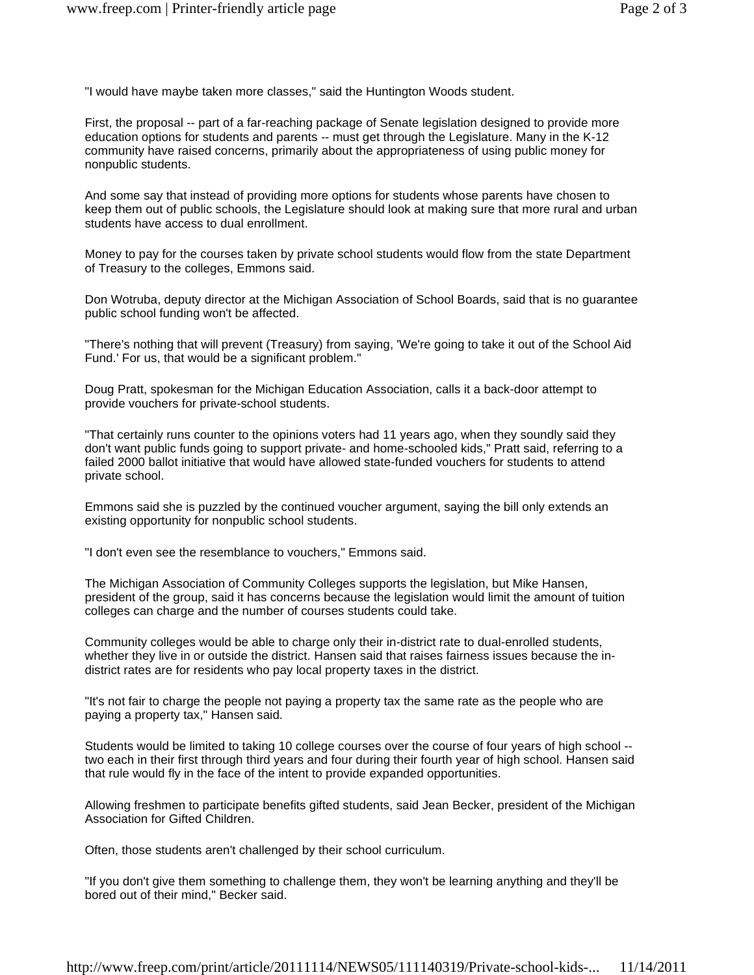"I would have maybe taken more classes," said the Huntington Woods student.

First, the proposal -- part of a far-reaching package of Senate legislation designed to provide more education options for students and parents -- must get through the Legislature. Many in the K-12 community have raised concerns, primarily about the appropriateness of using public money for nonpublic students.

And some say that instead of providing more options for students whose parents have chosen to keep them out of public schools, the Legislature should look at making sure that more rural and urban students have access to dual enrollment.

Money to pay for the courses taken by private school students would flow from the state Department of Treasury to the colleges, Emmons said.

Don Wotruba, deputy director at the Michigan Association of School Boards, said that is no guarantee public school funding won't be affected.

"There's nothing that will prevent (Treasury) from saying, 'We're going to take it out of the School Aid Fund.' For us, that would be a significant problem."

Doug Pratt, spokesman for the Michigan Education Association, calls it a back-door attempt to provide vouchers for private-school students.

"That certainly runs counter to the opinions voters had 11 years ago, when they soundly said they don't want public funds going to support private- and home-schooled kids," Pratt said, referring to a failed 2000 ballot initiative that would have allowed state-funded vouchers for students to attend private school.

Emmons said she is puzzled by the continued voucher argument, saying the bill only extends an existing opportunity for nonpublic school students.

"I don't even see the resemblance to vouchers," Emmons said.

The Michigan Association of Community Colleges supports the legislation, but Mike Hansen, president of the group, said it has concerns because the legislation would limit the amount of tuition colleges can charge and the number of courses students could take.

Community colleges would be able to charge only their in-district rate to dual-enrolled students, whether they live in or outside the district. Hansen said that raises fairness issues because the indistrict rates are for residents who pay local property taxes in the district.

"It's not fair to charge the people not paying a property tax the same rate as the people who are paying a property tax," Hansen said.

Students would be limited to taking 10 college courses over the course of four years of high school - two each in their first through third years and four during their fourth year of high school. Hansen said that rule would fly in the face of the intent to provide expanded opportunities.

Allowing freshmen to participate benefits gifted students, said Jean Becker, president of the Michigan Association for Gifted Children.

Often, those students aren't challenged by their school curriculum.

"If you don't give them something to challenge them, they won't be learning anything and they'll be bored out of their mind," Becker said.